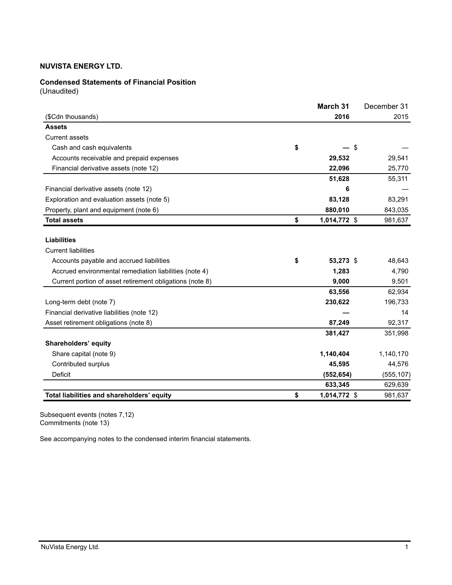# **Condensed Statements of Financial Position**

(Unaudited)

|                                                          | March 31           | December 31 |
|----------------------------------------------------------|--------------------|-------------|
| (\$Cdn thousands)                                        | 2016               | 2015        |
| <b>Assets</b>                                            |                    |             |
| <b>Current assets</b>                                    |                    |             |
| Cash and cash equivalents                                | \$<br>$-$ \$       |             |
| Accounts receivable and prepaid expenses                 | 29,532             | 29,541      |
| Financial derivative assets (note 12)                    | 22,096             | 25,770      |
|                                                          | 51,628             | 55,311      |
| Financial derivative assets (note 12)                    | 6                  |             |
| Exploration and evaluation assets (note 5)               | 83,128             | 83,291      |
| Property, plant and equipment (note 6)                   | 880,010            | 843,035     |
| <b>Total assets</b>                                      | \$<br>1,014,772 \$ | 981,637     |
|                                                          |                    |             |
| <b>Liabilities</b>                                       |                    |             |
| <b>Current liabilities</b>                               |                    |             |
| Accounts payable and accrued liabilities                 | \$<br>53,273 \$    | 48,643      |
| Accrued environmental remediation liabilities (note 4)   | 1,283              | 4,790       |
| Current portion of asset retirement obligations (note 8) | 9,000              | 9,501       |
|                                                          | 63,556             | 62,934      |
| Long-term debt (note 7)                                  | 230,622            | 196,733     |
| Financial derivative liabilities (note 12)               |                    | 14          |
| Asset retirement obligations (note 8)                    | 87,249             | 92,317      |
|                                                          | 381,427            | 351,998     |
| Shareholders' equity                                     |                    |             |
| Share capital (note 9)                                   | 1,140,404          | 1,140,170   |
| Contributed surplus                                      | 45,595             | 44,576      |
| <b>Deficit</b>                                           | (552, 654)         | (555, 107)  |
|                                                          | 633,345            | 629,639     |
| Total liabilities and shareholders' equity               | \$<br>1,014,772 \$ | 981,637     |

Subsequent events (notes 7,12) Commitments (note 13)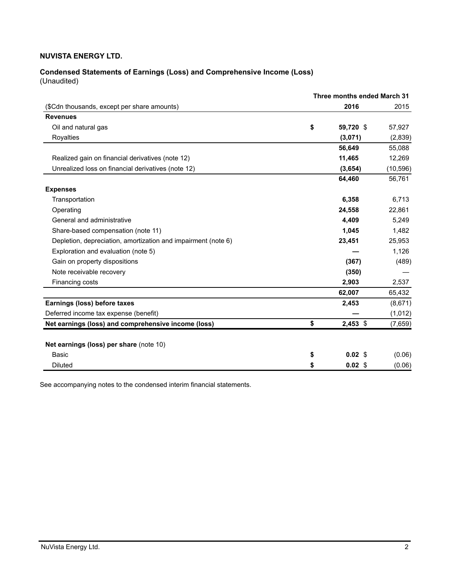# **Condensed Statements of Earnings (Loss) and Comprehensive Income (Loss)** (Unaudited)

|                                                               | Three months ended March 31 |                   |           |
|---------------------------------------------------------------|-----------------------------|-------------------|-----------|
| (\$Cdn thousands, except per share amounts)                   |                             | 2016              | 2015      |
| <b>Revenues</b>                                               |                             |                   |           |
| Oil and natural gas                                           | \$                          | 59,720 \$         | 57,927    |
| Royalties                                                     |                             | (3,071)           | (2,839)   |
|                                                               |                             | 56,649            | 55,088    |
| Realized gain on financial derivatives (note 12)              |                             | 11,465            | 12,269    |
| Unrealized loss on financial derivatives (note 12)            |                             | (3,654)           | (10, 596) |
|                                                               |                             | 64,460            | 56,761    |
| <b>Expenses</b>                                               |                             |                   |           |
| Transportation                                                |                             | 6,358             | 6,713     |
| Operating                                                     |                             | 24,558            | 22,861    |
| General and administrative                                    |                             | 4,409             | 5,249     |
| Share-based compensation (note 11)                            |                             | 1.045             | 1,482     |
| Depletion, depreciation, amortization and impairment (note 6) |                             | 23,451            | 25,953    |
| Exploration and evaluation (note 5)                           |                             |                   | 1,126     |
| Gain on property dispositions                                 |                             | (367)             | (489)     |
| Note receivable recovery                                      |                             | (350)             |           |
| Financing costs                                               |                             | 2.903             | 2.537     |
|                                                               |                             | 62,007            | 65,432    |
| Earnings (loss) before taxes                                  |                             | 2,453             | (8,671)   |
| Deferred income tax expense (benefit)                         |                             |                   | (1,012)   |
| Net earnings (loss) and comprehensive income (loss)           | \$                          | $2,453$ \$        | (7,659)   |
|                                                               |                             |                   |           |
| Net earnings (loss) per share (note 10)                       |                             |                   |           |
| Basic                                                         | \$                          | $0.02 \text{ } $$ | (0.06)    |
| <b>Diluted</b>                                                | \$                          | 0.02 <sub>5</sub> | (0.06)    |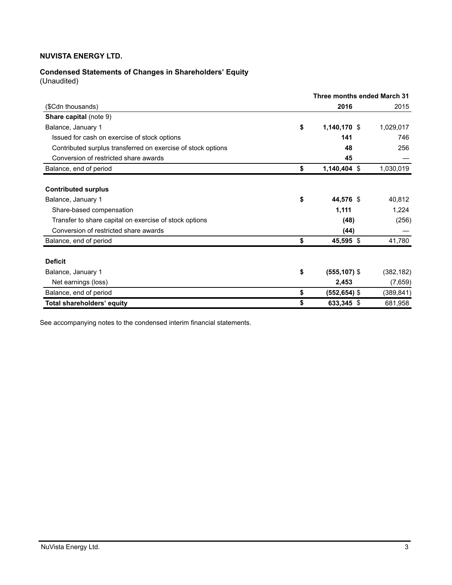# **Condensed Statements of Changes in Shareholders' Equity**

(Unaudited)

|                                                              | Three months ended March 31 |                 |  |            |
|--------------------------------------------------------------|-----------------------------|-----------------|--|------------|
| (\$Cdn thousands)                                            |                             | 2016            |  | 2015       |
| Share capital (note 9)                                       |                             |                 |  |            |
| Balance, January 1                                           | \$                          | 1,140,170 \$    |  | 1,029,017  |
| Issued for cash on exercise of stock options                 |                             | 141             |  | 746        |
| Contributed surplus transferred on exercise of stock options |                             | 48              |  | 256        |
| Conversion of restricted share awards                        |                             | 45              |  |            |
| Balance, end of period                                       | \$                          | $1,140,404$ \$  |  | 1,030,019  |
|                                                              |                             |                 |  |            |
| <b>Contributed surplus</b>                                   |                             |                 |  |            |
| Balance, January 1                                           | \$                          | 44,576 \$       |  | 40,812     |
| Share-based compensation                                     |                             | 1,111           |  | 1,224      |
| Transfer to share capital on exercise of stock options       |                             | (48)            |  | (256)      |
| Conversion of restricted share awards                        |                             | (44)            |  |            |
| Balance, end of period                                       | \$                          | 45,595 \$       |  | 41,780     |
| <b>Deficit</b>                                               |                             |                 |  |            |
|                                                              |                             |                 |  |            |
| Balance, January 1                                           | \$                          | $(555, 107)$ \$ |  | (382, 182) |
| Net earnings (loss)                                          |                             | 2,453           |  | (7,659)    |
| Balance, end of period                                       | \$                          | (552,654) \$    |  | (389, 841) |
| Total shareholders' equity                                   | \$                          | 633,345 \$      |  | 681,958    |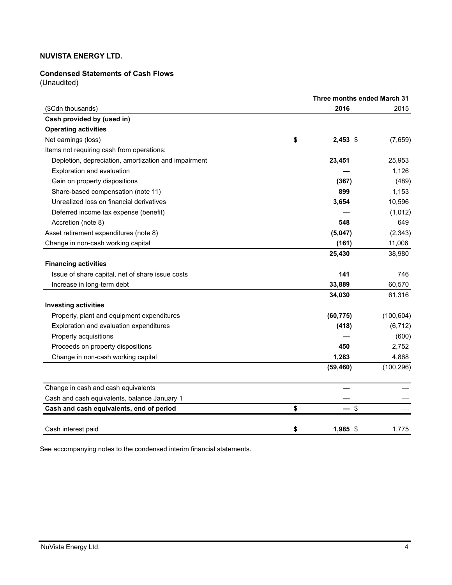### **Condensed Statements of Cash Flows**

(Unaudited)

|                                                      | Three months ended March 31 |            |
|------------------------------------------------------|-----------------------------|------------|
| (\$Cdn thousands)                                    | 2016                        | 2015       |
| Cash provided by (used in)                           |                             |            |
| <b>Operating activities</b>                          |                             |            |
| Net earnings (loss)                                  | \$<br>2,453 \$              | (7,659)    |
| Items not requiring cash from operations:            |                             |            |
| Depletion, depreciation, amortization and impairment | 23,451                      | 25,953     |
| Exploration and evaluation                           |                             | 1,126      |
| Gain on property dispositions                        | (367)                       | (489)      |
| Share-based compensation (note 11)                   | 899                         | 1,153      |
| Unrealized loss on financial derivatives             | 3,654                       | 10,596     |
| Deferred income tax expense (benefit)                |                             | (1,012)    |
| Accretion (note 8)                                   | 548                         | 649        |
| Asset retirement expenditures (note 8)               | (5,047)                     | (2, 343)   |
| Change in non-cash working capital                   | (161)                       | 11,006     |
|                                                      | 25,430                      | 38,980     |
| <b>Financing activities</b>                          |                             |            |
| Issue of share capital, net of share issue costs     | 141                         | 746        |
| Increase in long-term debt                           | 33,889                      | 60,570     |
|                                                      | 34,030                      | 61,316     |
| <b>Investing activities</b>                          |                             |            |
| Property, plant and equipment expenditures           | (60, 775)                   | (100, 604) |
| Exploration and evaluation expenditures              | (418)                       | (6, 712)   |
| Property acquisitions                                |                             | (600)      |
| Proceeds on property dispositions                    | 450                         | 2,752      |
| Change in non-cash working capital                   | 1,283                       | 4,868      |
|                                                      | (59, 460)                   | (100, 296) |
| Change in cash and cash equivalents                  |                             |            |
| Cash and cash equivalents, balance January 1         |                             |            |
| Cash and cash equivalents, end of period             | \$<br>\$                    |            |
| Cash interest paid                                   | \$<br>$1,985$ \$            | 1,775      |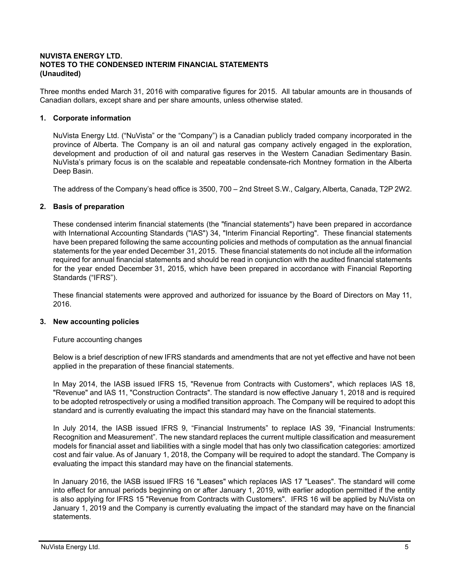# **NUVISTA ENERGY LTD. NOTES TO THE CONDENSED INTERIM FINANCIAL STATEMENTS (Unaudited)**

Three months ended March 31, 2016 with comparative figures for 2015. All tabular amounts are in thousands of Canadian dollars, except share and per share amounts, unless otherwise stated.

### **1. Corporate information**

NuVista Energy Ltd. ("NuVista" or the "Company") is a Canadian publicly traded company incorporated in the province of Alberta. The Company is an oil and natural gas company actively engaged in the exploration, development and production of oil and natural gas reserves in the Western Canadian Sedimentary Basin. NuVista's primary focus is on the scalable and repeatable condensate-rich Montney formation in the Alberta Deep Basin.

The address of the Company's head office is 3500, 700 – 2nd Street S.W., Calgary, Alberta, Canada, T2P 2W2.

#### **2. Basis of preparation**

These condensed interim financial statements (the "financial statements") have been prepared in accordance with International Accounting Standards ("IAS") 34, "Interim Financial Reporting". These financial statements have been prepared following the same accounting policies and methods of computation as the annual financial statements for the year ended December 31, 2015. These financial statements do not include all the information required for annual financial statements and should be read in conjunction with the audited financial statements for the year ended December 31, 2015, which have been prepared in accordance with Financial Reporting Standards ("IFRS").

These financial statements were approved and authorized for issuance by the Board of Directors on May 11, 2016.

#### **3. New accounting policies**

Future accounting changes

Below is a brief description of new IFRS standards and amendments that are not yet effective and have not been applied in the preparation of these financial statements.

In May 2014, the IASB issued IFRS 15, "Revenue from Contracts with Customers", which replaces IAS 18, "Revenue" and IAS 11, "Construction Contracts". The standard is now effective January 1, 2018 and is required to be adopted retrospectively or using a modified transition approach. The Company will be required to adopt this standard and is currently evaluating the impact this standard may have on the financial statements.

In July 2014, the IASB issued IFRS 9, "Financial Instruments" to replace IAS 39, "Financial Instruments: Recognition and Measurement". The new standard replaces the current multiple classification and measurement models for financial asset and liabilities with a single model that has only two classification categories: amortized cost and fair value. As of January 1, 2018, the Company will be required to adopt the standard. The Company is evaluating the impact this standard may have on the financial statements.

In January 2016, the IASB issued IFRS 16 "Leases" which replaces IAS 17 "Leases". The standard will come into effect for annual periods beginning on or after January 1, 2019, with earlier adoption permitted if the entity is also applying for IFRS 15 "Revenue from Contracts with Customers". IFRS 16 will be applied by NuVista on January 1, 2019 and the Company is currently evaluating the impact of the standard may have on the financial statements.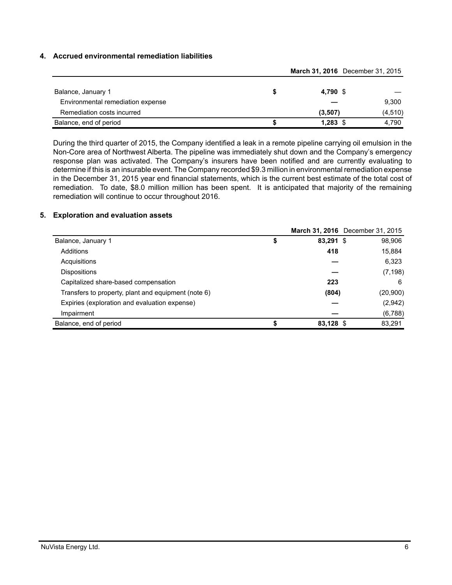### **4. Accrued environmental remediation liabilities**

|                                   |  |            | March 31, 2016 December 31, 2015 |  |  |
|-----------------------------------|--|------------|----------------------------------|--|--|
| Balance, January 1                |  | 4.790 \$   |                                  |  |  |
| Environmental remediation expense |  |            | 9,300                            |  |  |
| Remediation costs incurred        |  | (3,507)    | (4, 510)                         |  |  |
| Balance, end of period            |  | $1,283$ \$ | 4.790                            |  |  |

During the third quarter of 2015, the Company identified a leak in a remote pipeline carrying oil emulsion in the Non-Core area of Northwest Alberta. The pipeline was immediately shut down and the Company's emergency response plan was activated. The Company's insurers have been notified and are currently evaluating to determine if this is an insurable event. The Company recorded \$9.3 million in environmental remediation expense in the December 31, 2015 year end financial statements, which is the current best estimate of the total cost of remediation. To date, \$8.0 million million has been spent. It is anticipated that majority of the remaining remediation will continue to occur throughout 2016.

#### **5. Exploration and evaluation assets**

|                                                     |           | March 31, 2016 December 31, 2015 |
|-----------------------------------------------------|-----------|----------------------------------|
| Balance, January 1                                  | 83,291 \$ | 98,906                           |
| Additions                                           | 418       | 15,884                           |
| Acquisitions                                        |           | 6,323                            |
| <b>Dispositions</b>                                 |           | (7, 198)                         |
| Capitalized share-based compensation                | 223       | 6                                |
| Transfers to property, plant and equipment (note 6) | (804)     | (20,900)                         |
| Expiries (exploration and evaluation expense)       |           | (2,942)                          |
| Impairment                                          |           | (6,788)                          |
| Balance, end of period                              | 83,128 \$ | 83,291                           |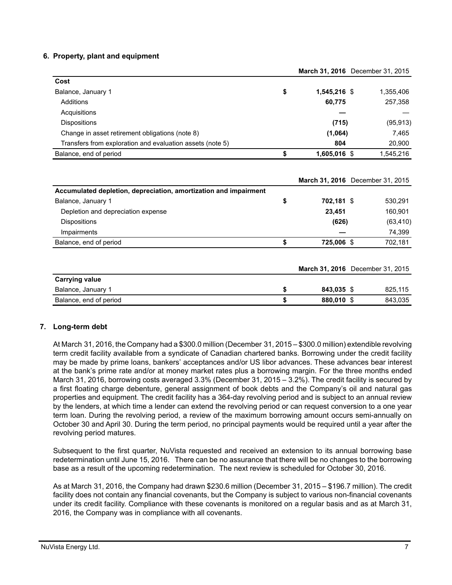### **6. Property, plant and equipment**

|                                                           |                    | March 31, 2016 December 31, 2015 |
|-----------------------------------------------------------|--------------------|----------------------------------|
| Cost                                                      |                    |                                  |
| Balance, January 1                                        | \$<br>1,545,216 \$ | 1,355,406                        |
| Additions                                                 | 60,775             | 257,358                          |
| Acquisitions                                              |                    |                                  |
| <b>Dispositions</b>                                       | (715)              | (95, 913)                        |
| Change in asset retirement obligations (note 8)           | (1,064)            | 7,465                            |
| Transfers from exploration and evaluation assets (note 5) | 804                | 20.900                           |
| Balance, end of period                                    | \$<br>1,605,016 \$ | 1.545.216                        |

|                                                                  |                  | March 31, 2016 December 31, 2015 |
|------------------------------------------------------------------|------------------|----------------------------------|
| Accumulated depletion, depreciation, amortization and impairment |                  |                                  |
| Balance, January 1                                               | \$<br>702,181 \$ | 530,291                          |
| Depletion and depreciation expense                               | 23.451           | 160,901                          |
| <b>Dispositions</b>                                              | (626)            | (63, 410)                        |
| Impairments                                                      |                  | 74,399                           |
| Balance, end of period                                           | \$<br>725,006 \$ | 702,181                          |
|                                                                  |                  | March 31, 2016 December 31, 2015 |
| <b>Carrying value</b>                                            |                  |                                  |
| Balance, January 1                                               | \$<br>843.035 \$ | 825.115                          |

Balance, end of period **\$ 880,010** \$ 843,035

### **7. Long-term debt**

At March 31, 2016, the Company had a \$300.0 million (December 31, 2015 – \$300.0 million) extendible revolving term credit facility available from a syndicate of Canadian chartered banks. Borrowing under the credit facility may be made by prime loans, bankers' acceptances and/or US libor advances. These advances bear interest at the bank's prime rate and/or at money market rates plus a borrowing margin. For the three months ended March 31, 2016, borrowing costs averaged 3.3% (December 31, 2015 – 3.2%). The credit facility is secured by a first floating charge debenture, general assignment of book debts and the Company's oil and natural gas properties and equipment. The credit facility has a 364-day revolving period and is subject to an annual review by the lenders, at which time a lender can extend the revolving period or can request conversion to a one year term loan. During the revolving period, a review of the maximum borrowing amount occurs semi-annually on October 30 and April 30. During the term period, no principal payments would be required until a year after the revolving period matures.

Subsequent to the first quarter, NuVista requested and received an extension to its annual borrowing base redetermination until June 15, 2016. There can be no assurance that there will be no changes to the borrowing base as a result of the upcoming redetermination. The next review is scheduled for October 30, 2016.

As at March 31, 2016, the Company had drawn \$230.6 million (December 31, 2015 – \$196.7 million). The credit facility does not contain any financial covenants, but the Company is subject to various non-financial covenants under its credit facility. Compliance with these covenants is monitored on a regular basis and as at March 31, 2016, the Company was in compliance with all covenants.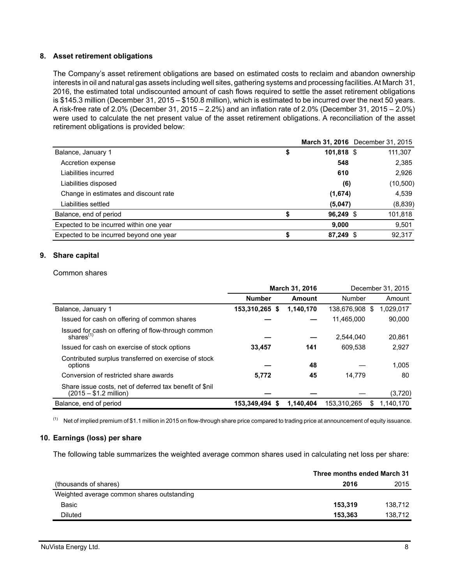#### **8. Asset retirement obligations**

The Company's asset retirement obligations are based on estimated costs to reclaim and abandon ownership interests in oil and natural gas assets including well sites, gathering systems and processing facilities. At March 31, 2016, the estimated total undiscounted amount of cash flows required to settle the asset retirement obligations is \$145.3 million (December 31, 2015 – \$150.8 million), which is estimated to be incurred over the next 50 years. A risk-free rate of 2.0% (December 31, 2015 – 2.2%) and an inflation rate of 2.0% (December 31, 2015 – 2.0%) were used to calculate the net present value of the asset retirement obligations. A reconciliation of the asset retirement obligations is provided below:

|                                         |            | March 31, 2016 December 31, 2015 |
|-----------------------------------------|------------|----------------------------------|
| Balance, January 1<br>\$                | 101,818 \$ | 111,307                          |
| Accretion expense                       | 548        | 2,385                            |
| Liabilities incurred                    | 610        | 2,926                            |
| Liabilities disposed                    | (6)        | (10,500)                         |
| Change in estimates and discount rate   | (1,674)    | 4,539                            |
| Liabilities settled                     | (5,047)    | (8,839)                          |
| Balance, end of period                  | 96,249 \$  | 101,818                          |
| Expected to be incurred within one year | 9,000      | 9,501                            |
| Expected to be incurred beyond one year | 87,249 \$  | 92,317                           |

#### **9. Share capital**

#### Common shares

|                                                                                    | <b>March 31, 2016</b> |           | December 31, 2015 |    |           |
|------------------------------------------------------------------------------------|-----------------------|-----------|-------------------|----|-----------|
|                                                                                    | <b>Number</b>         | Amount    | Number            |    | Amount    |
| Balance, January 1                                                                 | 153,310,265 \$        | 1,140,170 | 138.676.908       | -S | 1,029,017 |
| Issued for cash on offering of common shares                                       |                       |           | 11,465,000        |    | 90.000    |
| Issued for cash on offering of flow-through common<br>shares $(1)$                 |                       |           | 2.544.040         |    | 20.861    |
| Issued for cash on exercise of stock options                                       | 33.457                | 141       | 609.538           |    | 2.927     |
| Contributed surplus transferred on exercise of stock<br>options                    |                       | 48        |                   |    | 1.005     |
| Conversion of restricted share awards                                              | 5.772                 | 45        | 14.779            |    | 80        |
| Share issue costs, net of deferred tax benefit of \$nil<br>$(2015 - $1.2$ million) |                       |           |                   |    | (3,720)   |
| Balance, end of period                                                             | 153,349,494 \$        | 1,140,404 | 153,310,265       | S  | 1,140,170 |

 $(1)$  Net of implied premium of \$1.1 million in 2015 on flow-through share price compared to trading price at announcement of equity issuance.

#### **10. Earnings (loss) per share**

The following table summarizes the weighted average common shares used in calculating net loss per share:

|                                            | Three months ended March 31 |         |
|--------------------------------------------|-----------------------------|---------|
| (thousands of shares)                      | 2016                        | 2015    |
| Weighted average common shares outstanding |                             |         |
| Basic                                      | 153.319                     | 138.712 |
| Diluted                                    | 153.363                     | 138.712 |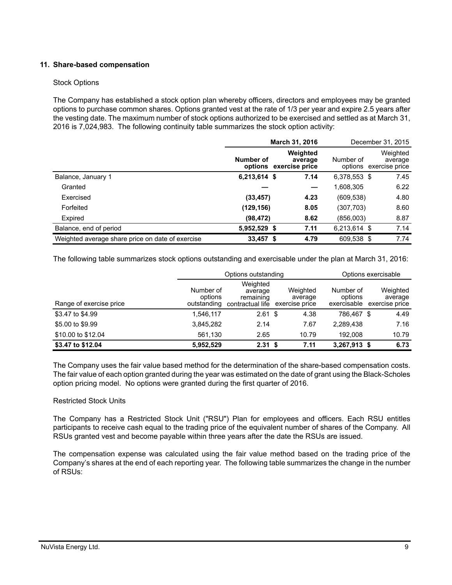# **11. Share-based compensation**

#### Stock Options

The Company has established a stock option plan whereby officers, directors and employees may be granted options to purchase common shares. Options granted vest at the rate of 1/3 per year and expire 2.5 years after the vesting date. The maximum number of stock options authorized to be exercised and settled as at March 31, 2016 is 7,024,983. The following continuity table summarizes the stock option activity:

|                                                  |              | March 31, 2016                                | December 31, 2015 |                                               |
|--------------------------------------------------|--------------|-----------------------------------------------|-------------------|-----------------------------------------------|
|                                                  | Number of    | Weighted<br>average<br>options exercise price | Number of         | Weighted<br>average<br>options exercise price |
| Balance, January 1                               | 6,213,614 \$ | 7.14                                          | 6,378,553 \$      | 7.45                                          |
| Granted                                          |              |                                               | 1,608,305         | 6.22                                          |
| Exercised                                        | (33, 457)    | 4.23                                          | (609,538)         | 4.80                                          |
| Forfeited                                        | (129, 156)   | 8.05                                          | (307,703)         | 8.60                                          |
| Expired                                          | (98, 472)    | 8.62                                          | (856,003)         | 8.87                                          |
| Balance, end of period                           | 5,952,529 \$ | 7.11                                          | 6,213,614 \$      | 7.14                                          |
| Weighted average share price on date of exercise | $33,457$ \$  | 4.79                                          | 609,538 \$        | 7.74                                          |

The following table summarizes stock options outstanding and exercisable under the plan at March 31, 2016:

|                         |                                     | Options outstanding                                  |                                       | Options exercisable                 |  |                                       |
|-------------------------|-------------------------------------|------------------------------------------------------|---------------------------------------|-------------------------------------|--|---------------------------------------|
| Range of exercise price | Number of<br>options<br>outstanding | Weighted<br>average<br>remaining<br>contractual life | Weighted<br>average<br>exercise price | Number of<br>options<br>exercisable |  | Weighted<br>average<br>exercise price |
| \$3.47 to \$4.99        | 1,546,117                           | $2.61$ \$                                            | 4.38                                  | 786.467 \$                          |  | 4.49                                  |
| \$5.00 to \$9.99        | 3,845,282                           | 2.14                                                 | 7.67                                  | 2,289,438                           |  | 7.16                                  |
| \$10.00 to \$12.04      | 561,130                             | 2.65                                                 | 10.79                                 | 192.008                             |  | 10.79                                 |
| \$3.47 to \$12.04       | 5,952,529                           | 2.31 <sup>5</sup>                                    | 7.11                                  | 3,267,913 \$                        |  | 6.73                                  |

The Company uses the fair value based method for the determination of the share-based compensation costs. The fair value of each option granted during the year was estimated on the date of grant using the Black-Scholes option pricing model. No options were granted during the first quarter of 2016.

### Restricted Stock Units

The Company has a Restricted Stock Unit ("RSU") Plan for employees and officers. Each RSU entitles participants to receive cash equal to the trading price of the equivalent number of shares of the Company. All RSUs granted vest and become payable within three years after the date the RSUs are issued.

The compensation expense was calculated using the fair value method based on the trading price of the Company's shares at the end of each reporting year. The following table summarizes the change in the number of RSUs: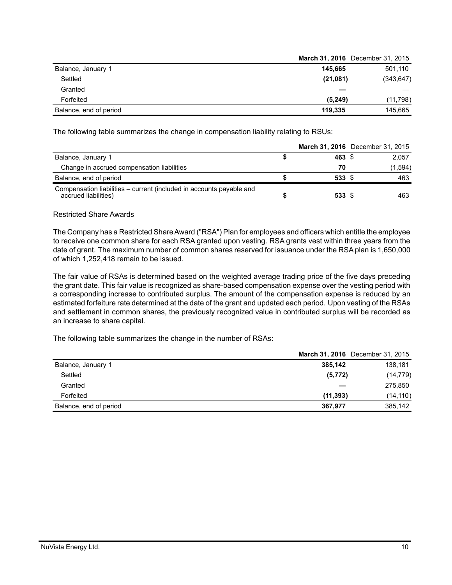|                        | March 31, 2016 December 31, 2015 |
|------------------------|----------------------------------|
| Balance, January 1     | 145.665<br>501,110               |
| Settled                | (21,081)<br>(343, 647)           |
| Granted                |                                  |
| Forfeited              | (5, 249)<br>(11,798)             |
| Balance, end of period | 145.665<br>119.335               |

The following table summarizes the change in compensation liability relating to RSUs:

|                                                                                              | March 31, 2016 December 31, 2015 |         |
|----------------------------------------------------------------------------------------------|----------------------------------|---------|
| Balance, January 1                                                                           | 463 \$                           | 2,057   |
| Change in accrued compensation liabilities                                                   | 70                               | (1,594) |
| Balance, end of period                                                                       | 533 \$                           | 463     |
| Compensation liabilities – current (included in accounts payable and<br>accrued liabilities) | 533 \$                           | 463     |

#### Restricted Share Awards

The Company has a Restricted Share Award ("RSA") Plan for employees and officers which entitle the employee to receive one common share for each RSA granted upon vesting. RSA grants vest within three years from the date of grant. The maximum number of common shares reserved for issuance under the RSA plan is 1,650,000 of which 1,252,418 remain to be issued.

The fair value of RSAs is determined based on the weighted average trading price of the five days preceding the grant date. This fair value is recognized as share-based compensation expense over the vesting period with a corresponding increase to contributed surplus. The amount of the compensation expense is reduced by an estimated forfeiture rate determined at the date of the grant and updated each period. Upon vesting of the RSAs and settlement in common shares, the previously recognized value in contributed surplus will be recorded as an increase to share capital.

The following table summarizes the change in the number of RSAs:

|                        |           | <b>March 31, 2016</b> December 31, 2015 |
|------------------------|-----------|-----------------------------------------|
| Balance, January 1     | 385,142   | 138,181                                 |
| Settled                | (5, 772)  | (14, 779)                               |
| Granted                |           | 275,850                                 |
| Forfeited              | (11, 393) | (14, 110)                               |
| Balance, end of period | 367.977   | 385.142                                 |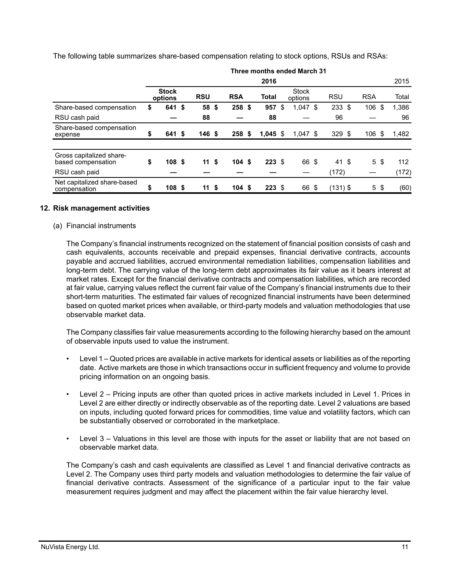The following table summarizes share-based compensation relating to stock options, RSUs and RSAs:

|                                                | Three months ended March 31 |                         |      |                  |  |                  |  |                  |    |                         |      |            |            |      |       |
|------------------------------------------------|-----------------------------|-------------------------|------|------------------|--|------------------|--|------------------|----|-------------------------|------|------------|------------|------|-------|
|                                                | 2016                        |                         |      |                  |  |                  |  |                  |    |                         |      | 2015       |            |      |       |
|                                                |                             | <b>Stock</b><br>options |      | <b>RSU</b>       |  | <b>RSA</b>       |  | Total            |    | <b>Stock</b><br>options |      | <b>RSU</b> | <b>RSA</b> |      | Total |
| Share-based compensation                       | \$                          | 641 \$                  |      | 58 \$            |  | 258 \$           |  | 957              | \$ | $1,047$ \$              |      | 233S       | 106        | \$   | 1,386 |
| RSU cash paid                                  |                             |                         |      | 88               |  |                  |  | 88               |    |                         |      | 96         |            |      | 96    |
| Share-based compensation<br>expense            | \$                          | 641 \$                  |      | 146 <sup>5</sup> |  | 258 <sup>5</sup> |  | $1,045$ \$       |    | $1,047$ \$              |      | 329S       | 106        | - \$ | 1,482 |
|                                                |                             |                         |      |                  |  |                  |  |                  |    |                         |      |            |            |      |       |
| Gross capitalized share-<br>based compensation | \$                          | 108S                    |      | 11 <sup>5</sup>  |  | 104S             |  | $223 \text{ } $$ |    | 66 \$                   |      | 41 \$      | 5\$        |      | 112   |
| RSU cash paid                                  |                             |                         |      |                  |  |                  |  |                  |    |                         |      | (172)      |            |      | (172) |
| Net capitalized share-based<br>compensation    | \$                          | 108                     | - \$ | 11 <sup>5</sup>  |  | 104S             |  | $223 \text{ } $$ |    | 66                      | - \$ | $(131)$ \$ | $5\degree$ |      | (60)  |

#### **12. Risk management activities**

(a) Financial instruments

The Company's financial instruments recognized on the statement of financial position consists of cash and cash equivalents, accounts receivable and prepaid expenses, financial derivative contracts, accounts payable and accrued liabilities, accrued environmental remediation liabilities, compensation liabilities and long-term debt. The carrying value of the long-term debt approximates its fair value as it bears interest at market rates. Except for the financial derivative contracts and compensation liabilities, which are recorded at fair value, carrying values reflect the current fair value of the Company's financial instruments due to their short-term maturities. The estimated fair values of recognized financial instruments have been determined based on quoted market prices when available, or third-party models and valuation methodologies that use observable market data.

The Company classifies fair value measurements according to the following hierarchy based on the amount of observable inputs used to value the instrument.

- Level 1 Quoted prices are available in active markets for identical assets or liabilities as of the reporting date. Active markets are those in which transactions occur in sufficient frequency and volume to provide pricing information on an ongoing basis.
- Level 2 Pricing inputs are other than quoted prices in active markets included in Level 1. Prices in Level 2 are either directly or indirectly observable as of the reporting date. Level 2 valuations are based on inputs, including quoted forward prices for commodities, time value and volatility factors, which can be substantially observed or corroborated in the marketplace.
- Level 3 Valuations in this level are those with inputs for the asset or liability that are not based on observable market data.

The Company's cash and cash equivalents are classified as Level 1 and financial derivative contracts as Level 2. The Company uses third party models and valuation methodologies to determine the fair value of financial derivative contracts. Assessment of the significance of a particular input to the fair value measurement requires judgment and may affect the placement within the fair value hierarchy level.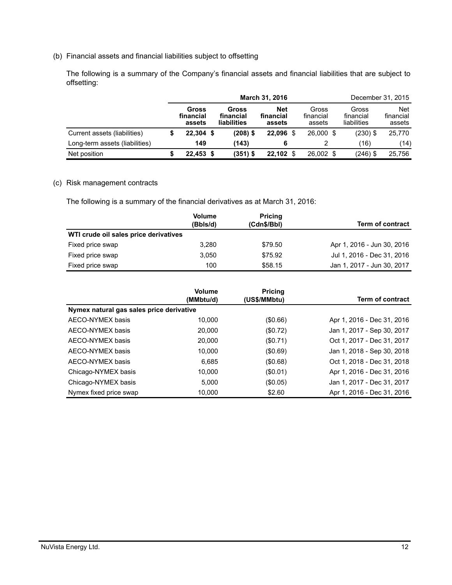(b) Financial assets and financial liabilities subject to offsetting

The following is a summary of the Company's financial assets and financial liabilities that are subject to offsetting:

|                                | March 31, 2016               |  |                                          |                                   |     |                              | December 31, 2015 |                                   |                                   |
|--------------------------------|------------------------------|--|------------------------------------------|-----------------------------------|-----|------------------------------|-------------------|-----------------------------------|-----------------------------------|
|                                | Gross<br>financial<br>assets |  | Gross<br>financial<br><b>liabilities</b> | <b>Net</b><br>financial<br>assets |     | Gross<br>financial<br>assets |                   | Gross<br>financial<br>liabilities | <b>Net</b><br>financial<br>assets |
| Current assets (liabilities)   | $22,304$ \$                  |  | (208) \$                                 | 22.096                            | \$. | 26,000 \$                    |                   | $(230)$ \$                        | 25,770                            |
| Long-term assets (liabilities) | 149                          |  | (143)                                    | 6                                 |     |                              |                   | (16)                              | (14)                              |
| Net position                   | $22.453$ \$                  |  | (351) \$                                 | 22.102                            |     | 26,002 \$                    |                   | $(246)$ \$                        | 25,756                            |

#### (c) Risk management contracts

The following is a summary of the financial derivatives as at March 31, 2016:

|                                       | <b>Volume</b><br>(Bbls/d) | <b>Pricing</b><br>(Cdn\$/Bbl) | <b>Term of contract</b>    |
|---------------------------------------|---------------------------|-------------------------------|----------------------------|
| WTI crude oil sales price derivatives |                           |                               |                            |
| Fixed price swap                      | 3.280                     | \$79.50                       | Apr 1, 2016 - Jun 30, 2016 |
| Fixed price swap                      | 3.050                     | \$75.92                       | Jul 1, 2016 - Dec 31, 2016 |
| Fixed price swap                      | 100                       | \$58.15                       | Jan 1, 2017 - Jun 30, 2017 |

|                                          | <b>Volume</b><br>(MMbtu/d) | <b>Pricing</b><br>(US\$/MMbtu) | <b>Term of contract</b>    |
|------------------------------------------|----------------------------|--------------------------------|----------------------------|
| Nymex natural gas sales price derivative |                            |                                |                            |
| AECO-NYMEX basis                         | 10.000                     | (\$0.66)                       | Apr 1, 2016 - Dec 31, 2016 |
| AECO-NYMEX basis                         | 20,000                     | (\$0.72)                       | Jan 1, 2017 - Sep 30, 2017 |
| AECO-NYMEX basis                         | 20,000                     | (\$0.71)                       | Oct 1, 2017 - Dec 31, 2017 |
| AECO-NYMEX basis                         | 10.000                     | (\$0.69)                       | Jan 1, 2018 - Sep 30, 2018 |
| AECO-NYMEX basis                         | 6.685                      | (\$0.68)                       | Oct 1, 2018 - Dec 31, 2018 |
| Chicago-NYMEX basis                      | 10.000                     | (\$0.01)                       | Apr 1, 2016 - Dec 31, 2016 |
| Chicago-NYMEX basis                      | 5.000                      | (\$0.05)                       | Jan 1, 2017 - Dec 31, 2017 |
| Nymex fixed price swap                   | 10.000                     | \$2.60                         | Apr 1, 2016 - Dec 31, 2016 |